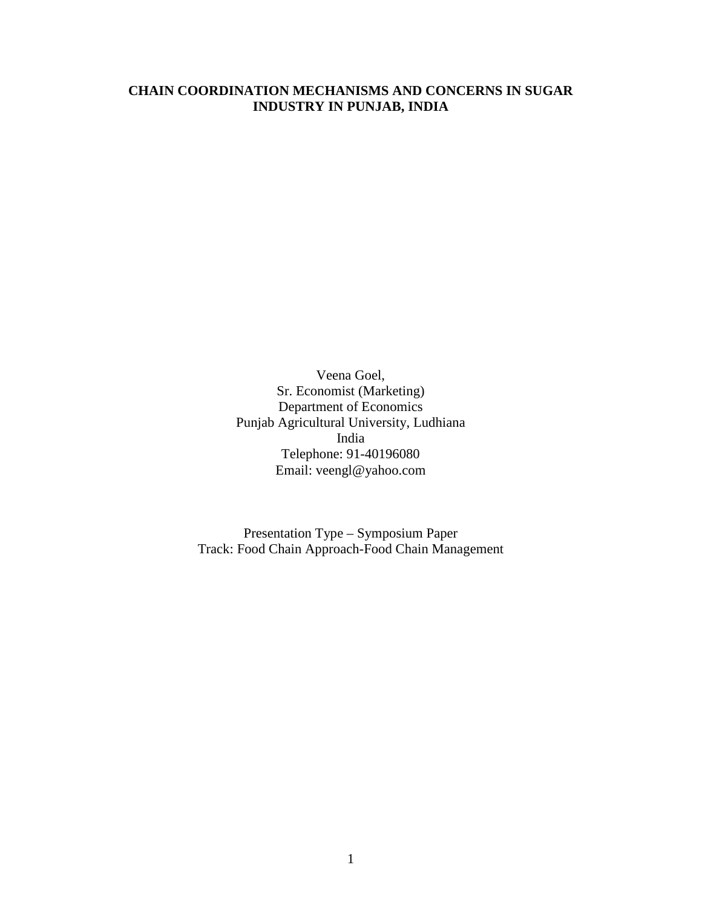# **CHAIN COORDINATION MECHANISMS AND CONCERNS IN SUGAR INDUSTRY IN PUNJAB, INDIA**

Veena Goel, Sr. Economist (Marketing) Department of Economics Punjab Agricultural University, Ludhiana India Telephone: 91-40196080 Email: veengl@yahoo.com

Presentation Type – Symposium Paper Track: Food Chain Approach-Food Chain Management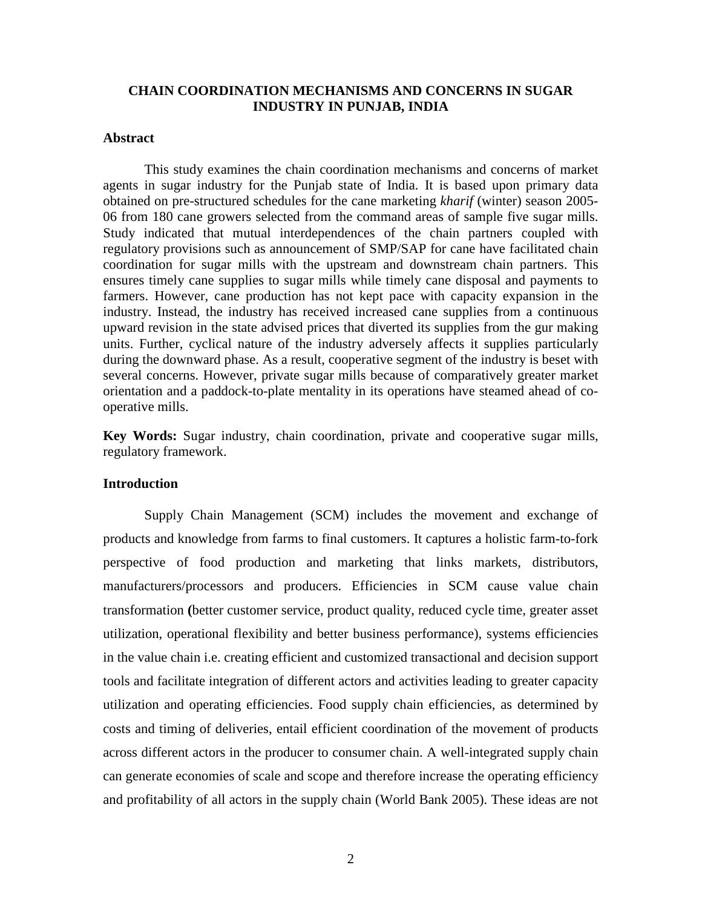### **CHAIN COORDINATION MECHANISMS AND CONCERNS IN SUGAR INDUSTRY IN PUNJAB, INDIA**

### **Abstract**

This study examines the chain coordination mechanisms and concerns of market agents in sugar industry for the Punjab state of India. It is based upon primary data obtained on pre-structured schedules for the cane marketing *kharif* (winter) season 2005- 06 from 180 cane growers selected from the command areas of sample five sugar mills. Study indicated that mutual interdependences of the chain partners coupled with regulatory provisions such as announcement of SMP/SAP for cane have facilitated chain coordination for sugar mills with the upstream and downstream chain partners. This ensures timely cane supplies to sugar mills while timely cane disposal and payments to farmers. However, cane production has not kept pace with capacity expansion in the industry. Instead, the industry has received increased cane supplies from a continuous upward revision in the state advised prices that diverted its supplies from the gur making units. Further, cyclical nature of the industry adversely affects it supplies particularly during the downward phase. As a result, cooperative segment of the industry is beset with several concerns. However, private sugar mills because of comparatively greater market orientation and a paddock-to-plate mentality in its operations have steamed ahead of cooperative mills.

**Key Words:** Sugar industry, chain coordination, private and cooperative sugar mills, regulatory framework.

#### **Introduction**

Supply Chain Management (SCM) includes the movement and exchange of products and knowledge from farms to final customers. It captures a holistic farm-to-fork perspective of food production and marketing that links markets, distributors, manufacturers/processors and producers. Efficiencies in SCM cause value chain transformation **(**better customer service, product quality, reduced cycle time, greater asset utilization, operational flexibility and better business performance), systems efficiencies in the value chain i.e. creating efficient and customized transactional and decision support tools and facilitate integration of different actors and activities leading to greater capacity utilization and operating efficiencies. Food supply chain efficiencies, as determined by costs and timing of deliveries, entail efficient coordination of the movement of products across different actors in the producer to consumer chain. A well-integrated supply chain can generate economies of scale and scope and therefore increase the operating efficiency and profitability of all actors in the supply chain (World Bank 2005). These ideas are not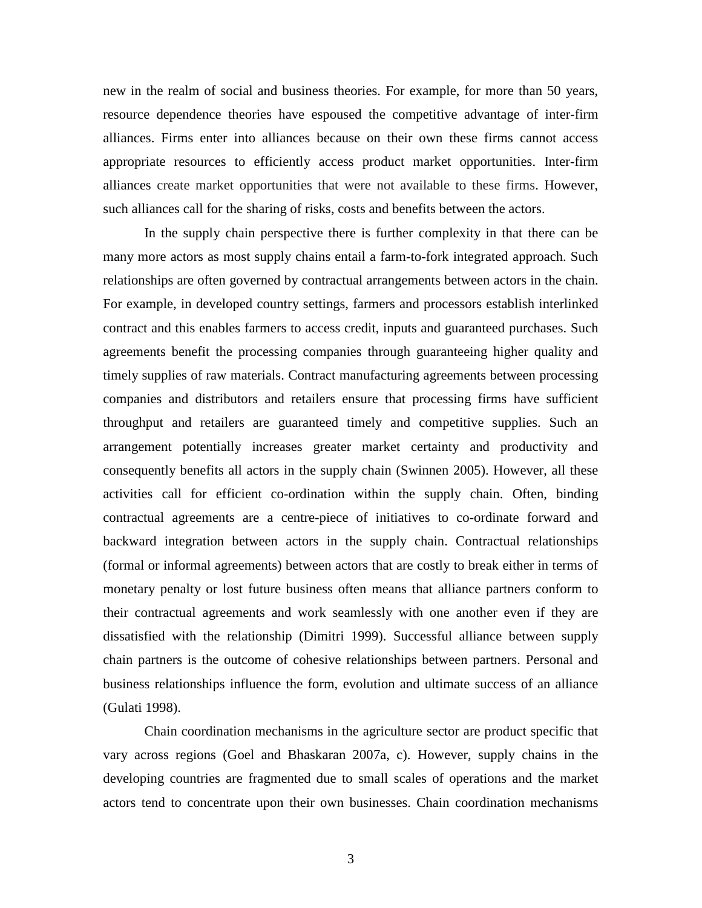new in the realm of social and business theories. For example, for more than 50 years, resource dependence theories have espoused the competitive advantage of inter-firm alliances. Firms enter into alliances because on their own these firms cannot access appropriate resources to efficiently access product market opportunities. Inter-firm alliances create market opportunities that were not available to these firms. However, such alliances call for the sharing of risks, costs and benefits between the actors.

In the supply chain perspective there is further complexity in that there can be many more actors as most supply chains entail a farm-to-fork integrated approach. Such relationships are often governed by contractual arrangements between actors in the chain. For example, in developed country settings, farmers and processors establish interlinked contract and this enables farmers to access credit, inputs and guaranteed purchases. Such agreements benefit the processing companies through guaranteeing higher quality and timely supplies of raw materials. Contract manufacturing agreements between processing companies and distributors and retailers ensure that processing firms have sufficient throughput and retailers are guaranteed timely and competitive supplies. Such an arrangement potentially increases greater market certainty and productivity and consequently benefits all actors in the supply chain (Swinnen 2005). However, all these activities call for efficient co-ordination within the supply chain. Often, binding contractual agreements are a centre-piece of initiatives to co-ordinate forward and backward integration between actors in the supply chain. Contractual relationships (formal or informal agreements) between actors that are costly to break either in terms of monetary penalty or lost future business often means that alliance partners conform to their contractual agreements and work seamlessly with one another even if they are dissatisfied with the relationship (Dimitri 1999). Successful alliance between supply chain partners is the outcome of cohesive relationships between partners. Personal and business relationships influence the form, evolution and ultimate success of an alliance (Gulati 1998).

Chain coordination mechanisms in the agriculture sector are product specific that vary across regions (Goel and Bhaskaran 2007a, c). However, supply chains in the developing countries are fragmented due to small scales of operations and the market actors tend to concentrate upon their own businesses. Chain coordination mechanisms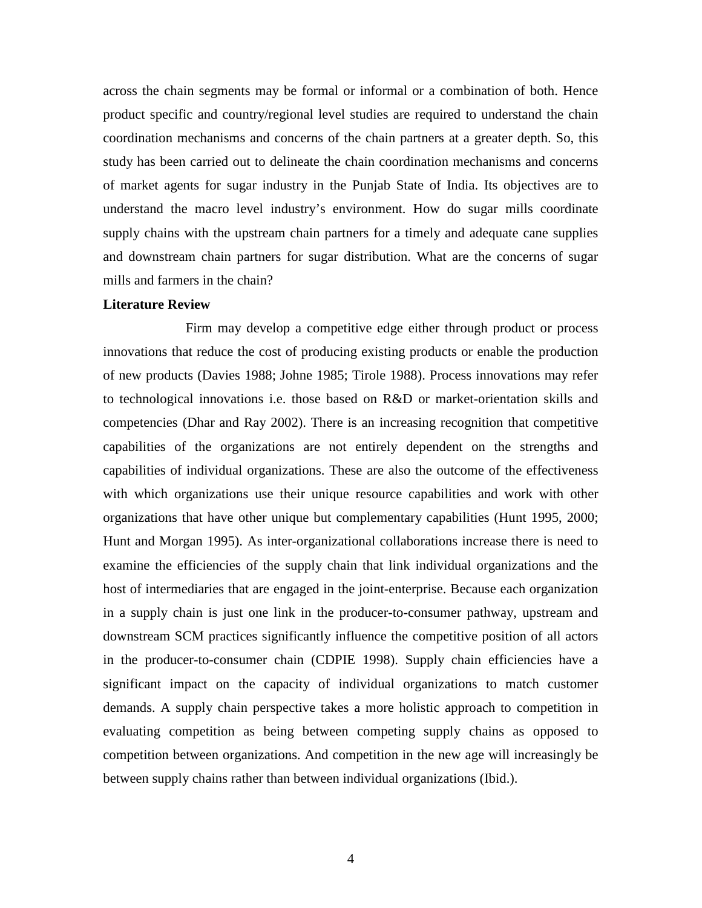across the chain segments may be formal or informal or a combination of both. Hence product specific and country/regional level studies are required to understand the chain coordination mechanisms and concerns of the chain partners at a greater depth. So, this study has been carried out to delineate the chain coordination mechanisms and concerns of market agents for sugar industry in the Punjab State of India. Its objectives are to understand the macro level industry's environment. How do sugar mills coordinate supply chains with the upstream chain partners for a timely and adequate cane supplies and downstream chain partners for sugar distribution. What are the concerns of sugar mills and farmers in the chain?

#### **Literature Review**

Firm may develop a competitive edge either through product or process innovations that reduce the cost of producing existing products or enable the production of new products (Davies 1988; Johne 1985; Tirole 1988). Process innovations may refer to technological innovations i.e. those based on R&D or market-orientation skills and competencies (Dhar and Ray 2002). There is an increasing recognition that competitive capabilities of the organizations are not entirely dependent on the strengths and capabilities of individual organizations. These are also the outcome of the effectiveness with which organizations use their unique resource capabilities and work with other organizations that have other unique but complementary capabilities (Hunt 1995, 2000; Hunt and Morgan 1995). As inter-organizational collaborations increase there is need to examine the efficiencies of the supply chain that link individual organizations and the host of intermediaries that are engaged in the joint-enterprise. Because each organization in a supply chain is just one link in the producer-to-consumer pathway, upstream and downstream SCM practices significantly influence the competitive position of all actors in the producer-to-consumer chain (CDPIE 1998). Supply chain efficiencies have a significant impact on the capacity of individual organizations to match customer demands. A supply chain perspective takes a more holistic approach to competition in evaluating competition as being between competing supply chains as opposed to competition between organizations. And competition in the new age will increasingly be between supply chains rather than between individual organizations (Ibid.).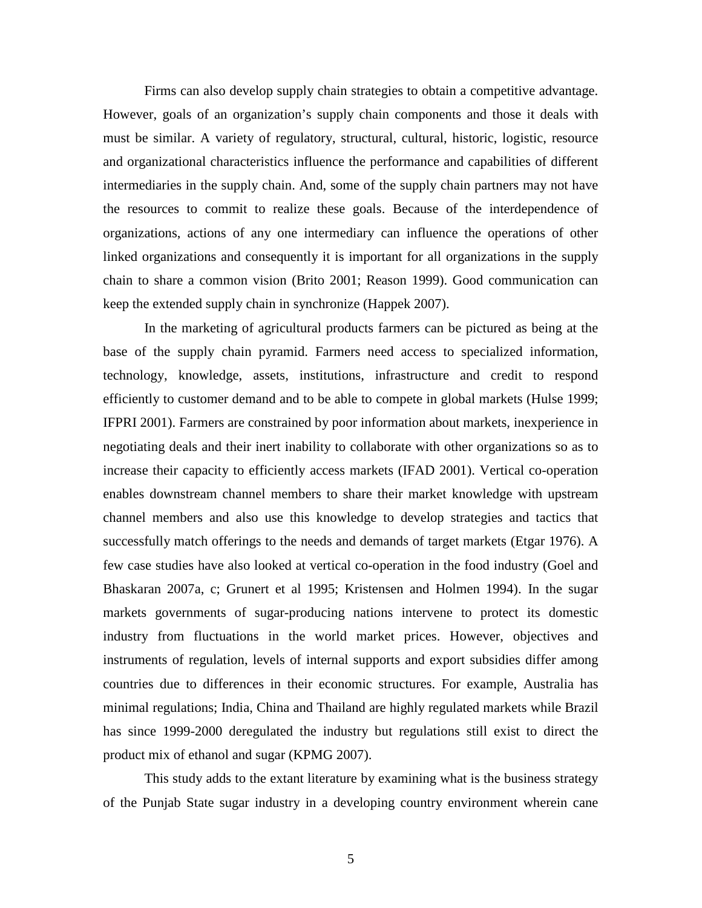Firms can also develop supply chain strategies to obtain a competitive advantage. However, goals of an organization's supply chain components and those it deals with must be similar. A variety of regulatory, structural, cultural, historic, logistic, resource and organizational characteristics influence the performance and capabilities of different intermediaries in the supply chain. And, some of the supply chain partners may not have the resources to commit to realize these goals. Because of the interdependence of organizations, actions of any one intermediary can influence the operations of other linked organizations and consequently it is important for all organizations in the supply chain to share a common vision (Brito 2001; Reason 1999). Good communication can keep the extended supply chain in synchronize (Happek 2007).

In the marketing of agricultural products farmers can be pictured as being at the base of the supply chain pyramid. Farmers need access to specialized information, technology, knowledge, assets, institutions, infrastructure and credit to respond efficiently to customer demand and to be able to compete in global markets (Hulse 1999; IFPRI 2001). Farmers are constrained by poor information about markets, inexperience in negotiating deals and their inert inability to collaborate with other organizations so as to increase their capacity to efficiently access markets (IFAD 2001). Vertical co-operation enables downstream channel members to share their market knowledge with upstream channel members and also use this knowledge to develop strategies and tactics that successfully match offerings to the needs and demands of target markets (Etgar 1976). A few case studies have also looked at vertical co-operation in the food industry (Goel and Bhaskaran 2007a, c; Grunert et al 1995; Kristensen and Holmen 1994). In the sugar markets governments of sugar-producing nations intervene to protect its domestic industry from fluctuations in the world market prices. However, objectives and instruments of regulation, levels of internal supports and export subsidies differ among countries due to differences in their economic structures. For example, Australia has minimal regulations; India, China and Thailand are highly regulated markets while Brazil has since 1999-2000 deregulated the industry but regulations still exist to direct the product mix of ethanol and sugar (KPMG 2007).

This study adds to the extant literature by examining what is the business strategy of the Punjab State sugar industry in a developing country environment wherein cane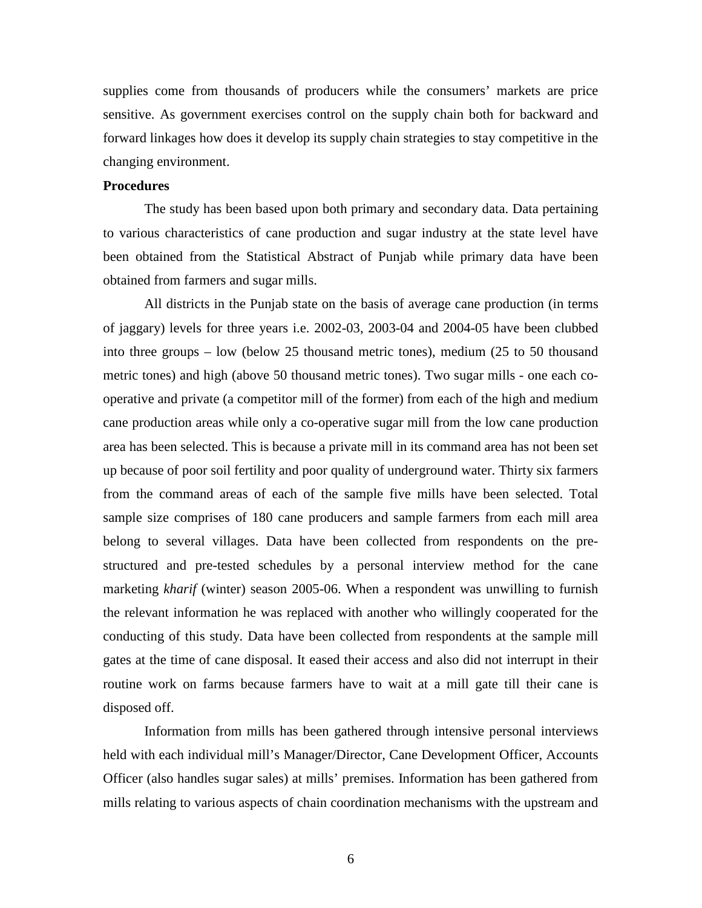supplies come from thousands of producers while the consumers' markets are price sensitive. As government exercises control on the supply chain both for backward and forward linkages how does it develop its supply chain strategies to stay competitive in the changing environment.

### **Procedures**

The study has been based upon both primary and secondary data. Data pertaining to various characteristics of cane production and sugar industry at the state level have been obtained from the Statistical Abstract of Punjab while primary data have been obtained from farmers and sugar mills.

All districts in the Punjab state on the basis of average cane production (in terms of jaggary) levels for three years i.e. 2002-03, 2003-04 and 2004-05 have been clubbed into three groups – low (below 25 thousand metric tones), medium (25 to 50 thousand metric tones) and high (above 50 thousand metric tones). Two sugar mills - one each cooperative and private (a competitor mill of the former) from each of the high and medium cane production areas while only a co-operative sugar mill from the low cane production area has been selected. This is because a private mill in its command area has not been set up because of poor soil fertility and poor quality of underground water. Thirty six farmers from the command areas of each of the sample five mills have been selected. Total sample size comprises of 180 cane producers and sample farmers from each mill area belong to several villages. Data have been collected from respondents on the prestructured and pre-tested schedules by a personal interview method for the cane marketing *kharif* (winter) season 2005-06. When a respondent was unwilling to furnish the relevant information he was replaced with another who willingly cooperated for the conducting of this study. Data have been collected from respondents at the sample mill gates at the time of cane disposal. It eased their access and also did not interrupt in their routine work on farms because farmers have to wait at a mill gate till their cane is disposed off.

Information from mills has been gathered through intensive personal interviews held with each individual mill's Manager/Director, Cane Development Officer, Accounts Officer (also handles sugar sales) at mills' premises. Information has been gathered from mills relating to various aspects of chain coordination mechanisms with the upstream and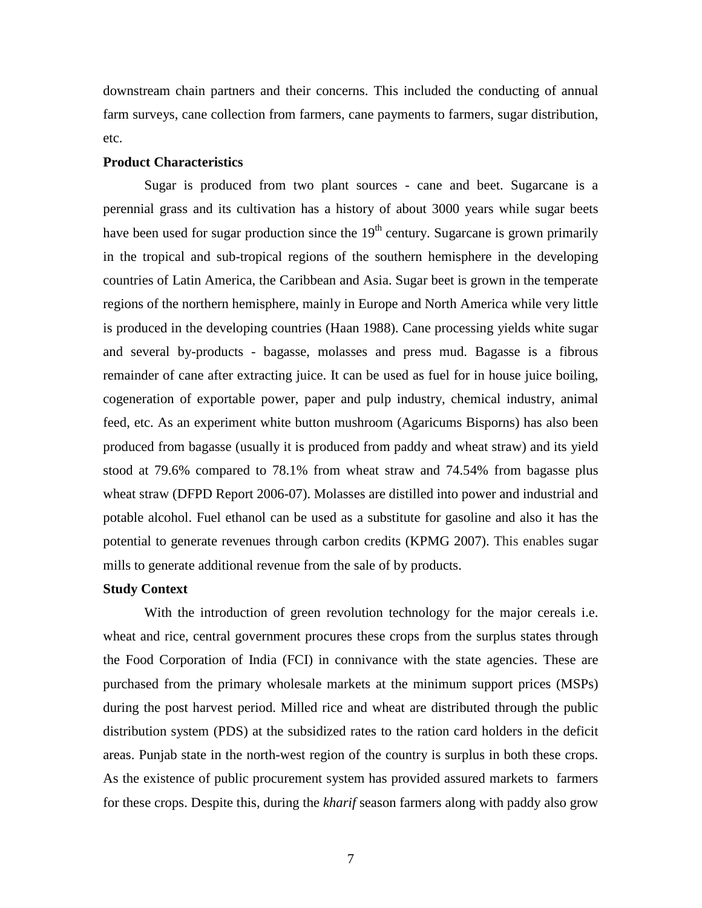downstream chain partners and their concerns. This included the conducting of annual farm surveys, cane collection from farmers, cane payments to farmers, sugar distribution, etc.

#### **Product Characteristics**

Sugar is produced from two plant sources - cane and beet. Sugarcane is a perennial grass and its cultivation has a history of about 3000 years while sugar beets have been used for sugar production since the  $19<sup>th</sup>$  century. Sugarcane is grown primarily in the tropical and sub-tropical regions of the southern hemisphere in the developing countries of Latin America, the Caribbean and Asia. Sugar beet is grown in the temperate regions of the northern hemisphere, mainly in Europe and North America while very little is produced in the developing countries (Haan 1988). Cane processing yields white sugar and several by-products - bagasse, molasses and press mud. Bagasse is a fibrous remainder of cane after extracting juice. It can be used as fuel for in house juice boiling, cogeneration of exportable power, paper and pulp industry, chemical industry, animal feed, etc. As an experiment white button mushroom (Agaricums Bisporns) has also been produced from bagasse (usually it is produced from paddy and wheat straw) and its yield stood at 79.6% compared to 78.1% from wheat straw and 74.54% from bagasse plus wheat straw (DFPD Report 2006-07). Molasses are distilled into power and industrial and potable alcohol. Fuel ethanol can be used as a substitute for gasoline and also it has the potential to generate revenues through carbon credits (KPMG 2007). This enables sugar mills to generate additional revenue from the sale of by products.

#### **Study Context**

With the introduction of green revolution technology for the major cereals *i.e.* wheat and rice, central government procures these crops from the surplus states through the Food Corporation of India (FCI) in connivance with the state agencies. These are purchased from the primary wholesale markets at the minimum support prices (MSPs) during the post harvest period. Milled rice and wheat are distributed through the public distribution system (PDS) at the subsidized rates to the ration card holders in the deficit areas. Punjab state in the north-west region of the country is surplus in both these crops. As the existence of public procurement system has provided assured markets to farmers for these crops. Despite this, during the *kharif* season farmers along with paddy also grow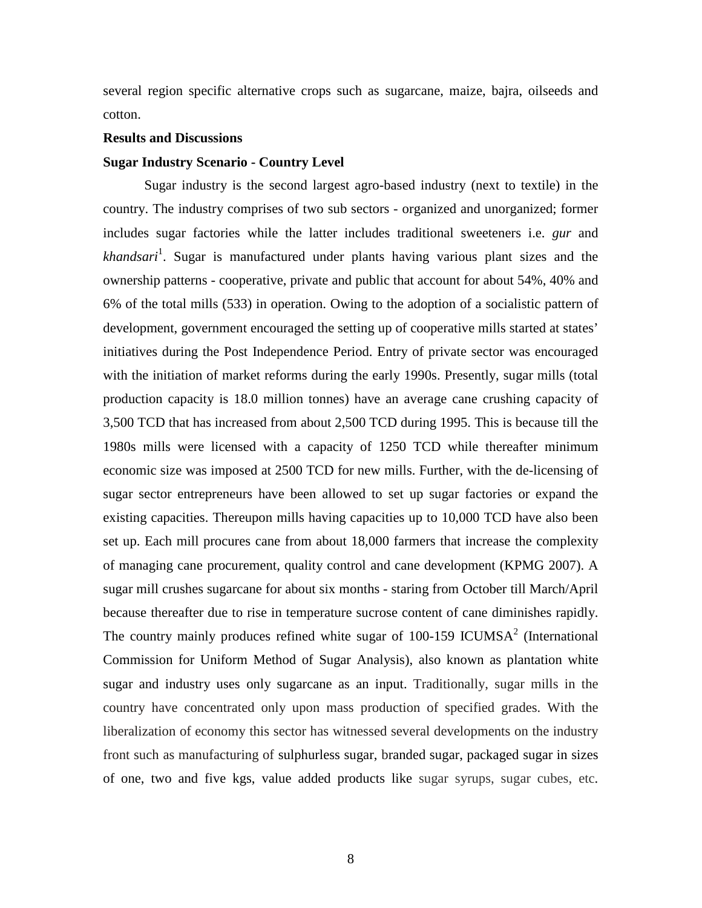several region specific alternative crops such as sugarcane, maize, bajra, oilseeds and cotton.

### **Results and Discussions**

#### **Sugar Industry Scenario - Country Level**

Sugar industry is the second largest agro-based industry (next to textile) in the country. The industry comprises of two sub sectors - organized and unorganized; former includes sugar factories while the latter includes traditional sweeteners i.e. *gur* and *khandsari*<sup>1</sup> . Sugar is manufactured under plants having various plant sizes and the ownership patterns - cooperative, private and public that account for about 54%, 40% and 6% of the total mills (533) in operation. Owing to the adoption of a socialistic pattern of development, government encouraged the setting up of cooperative mills started at states' initiatives during the Post Independence Period. Entry of private sector was encouraged with the initiation of market reforms during the early 1990s. Presently, sugar mills (total production capacity is 18.0 million tonnes) have an average cane crushing capacity of 3,500 TCD that has increased from about 2,500 TCD during 1995. This is because till the 1980s mills were licensed with a capacity of 1250 TCD while thereafter minimum economic size was imposed at 2500 TCD for new mills. Further, with the de-licensing of sugar sector entrepreneurs have been allowed to set up sugar factories or expand the existing capacities. Thereupon mills having capacities up to 10,000 TCD have also been set up. Each mill procures cane from about 18,000 farmers that increase the complexity of managing cane procurement, quality control and cane development (KPMG 2007). A sugar mill crushes sugarcane for about six months - staring from October till March/April because thereafter due to rise in temperature sucrose content of cane diminishes rapidly. The country mainly produces refined white sugar of  $100-159$  ICUMSA<sup>2</sup> (International Commission for Uniform Method of Sugar Analysis), also known as plantation white sugar and industry uses only sugarcane as an input. Traditionally, sugar mills in the country have concentrated only upon mass production of specified grades. With the liberalization of economy this sector has witnessed several developments on the industry front such as manufacturing of sulphurless sugar, branded sugar, packaged sugar in sizes of one, two and five kgs, value added products like sugar syrups, sugar cubes, etc.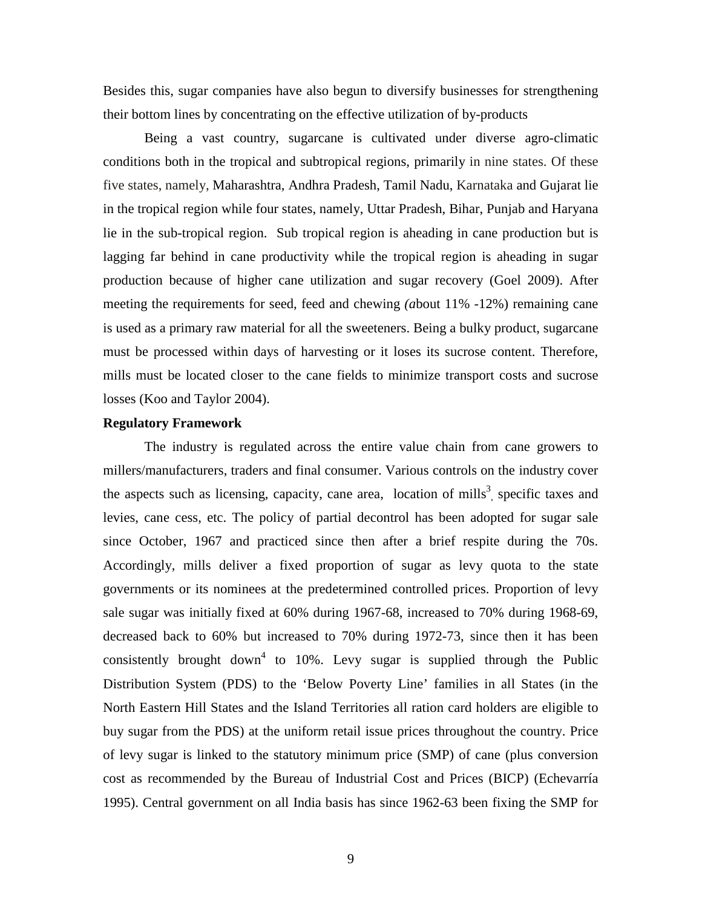Besides this, sugar companies have also begun to diversify businesses for strengthening their bottom lines by concentrating on the effective utilization of by-products

Being a vast country, sugarcane is cultivated under diverse agro-climatic conditions both in the tropical and subtropical regions, primarily in nine states. Of these five states, namely, Maharashtra, Andhra Pradesh, Tamil Nadu, Karnataka and Gujarat lie in the tropical region while four states, namely, Uttar Pradesh, Bihar, Punjab and Haryana lie in the sub-tropical region. Sub tropical region is aheading in cane production but is lagging far behind in cane productivity while the tropical region is aheading in sugar production because of higher cane utilization and sugar recovery (Goel 2009). After meeting the requirements for seed, feed and chewing *(a*bout 11% -12%) remaining cane is used as a primary raw material for all the sweeteners. Being a bulky product, sugarcane must be processed within days of harvesting or it loses its sucrose content. Therefore, mills must be located closer to the cane fields to minimize transport costs and sucrose losses (Koo and Taylor 2004).

### **Regulatory Framework**

The industry is regulated across the entire value chain from cane growers to millers/manufacturers, traders and final consumer. Various controls on the industry cover the aspects such as licensing, capacity, cane area, location of mills<sup>3</sup>, specific taxes and levies, cane cess, etc. The policy of partial decontrol has been adopted for sugar sale since October, 1967 and practiced since then after a brief respite during the 70s. Accordingly, mills deliver a fixed proportion of sugar as levy quota to the state governments or its nominees at the predetermined controlled prices. Proportion of levy sale sugar was initially fixed at 60% during 1967-68, increased to 70% during 1968-69, decreased back to 60% but increased to 70% during 1972-73, since then it has been consistently brought down<sup>4</sup> to 10%. Levy sugar is supplied through the Public Distribution System (PDS) to the 'Below Poverty Line' families in all States (in the North Eastern Hill States and the Island Territories all ration card holders are eligible to buy sugar from the PDS) at the uniform retail issue prices throughout the country. Price of levy sugar is linked to the statutory minimum price (SMP) of cane (plus conversion cost as recommended by the Bureau of Industrial Cost and Prices (BICP) (Echevarría 1995). Central government on all India basis has since 1962-63 been fixing the SMP for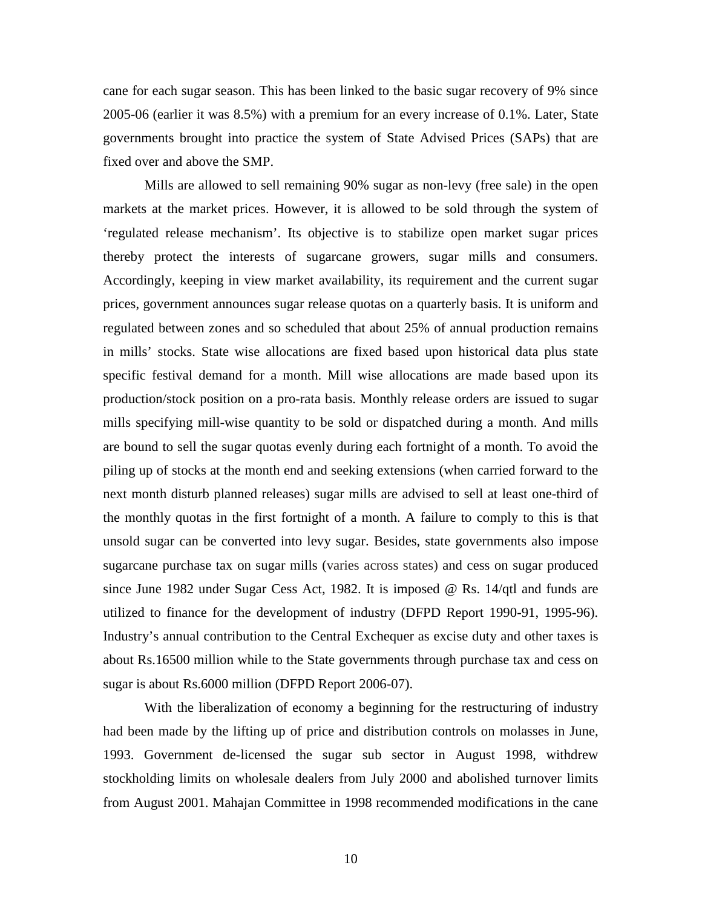cane for each sugar season. This has been linked to the basic sugar recovery of 9% since 2005-06 (earlier it was 8.5%) with a premium for an every increase of 0.1%. Later, State governments brought into practice the system of State Advised Prices (SAPs) that are fixed over and above the SMP.

Mills are allowed to sell remaining 90% sugar as non-levy (free sale) in the open markets at the market prices. However, it is allowed to be sold through the system of 'regulated release mechanism'. Its objective is to stabilize open market sugar prices thereby protect the interests of sugarcane growers, sugar mills and consumers. Accordingly, keeping in view market availability, its requirement and the current sugar prices, government announces sugar release quotas on a quarterly basis. It is uniform and regulated between zones and so scheduled that about 25% of annual production remains in mills' stocks. State wise allocations are fixed based upon historical data plus state specific festival demand for a month. Mill wise allocations are made based upon its production/stock position on a pro-rata basis. Monthly release orders are issued to sugar mills specifying mill-wise quantity to be sold or dispatched during a month. And mills are bound to sell the sugar quotas evenly during each fortnight of a month. To avoid the piling up of stocks at the month end and seeking extensions (when carried forward to the next month disturb planned releases) sugar mills are advised to sell at least one-third of the monthly quotas in the first fortnight of a month. A failure to comply to this is that unsold sugar can be converted into levy sugar. Besides, state governments also impose sugarcane purchase tax on sugar mills (varies across states) and cess on sugar produced since June 1982 under Sugar Cess Act, 1982. It is imposed @ Rs. 14/qtl and funds are utilized to finance for the development of industry (DFPD Report 1990-91, 1995-96). Industry's annual contribution to the Central Exchequer as excise duty and other taxes is about Rs.16500 million while to the State governments through purchase tax and cess on sugar is about Rs.6000 million (DFPD Report 2006-07).

With the liberalization of economy a beginning for the restructuring of industry had been made by the lifting up of price and distribution controls on molasses in June, 1993. Government de-licensed the sugar sub sector in August 1998, withdrew stockholding limits on wholesale dealers from July 2000 and abolished turnover limits from August 2001. Mahajan Committee in 1998 recommended modifications in the cane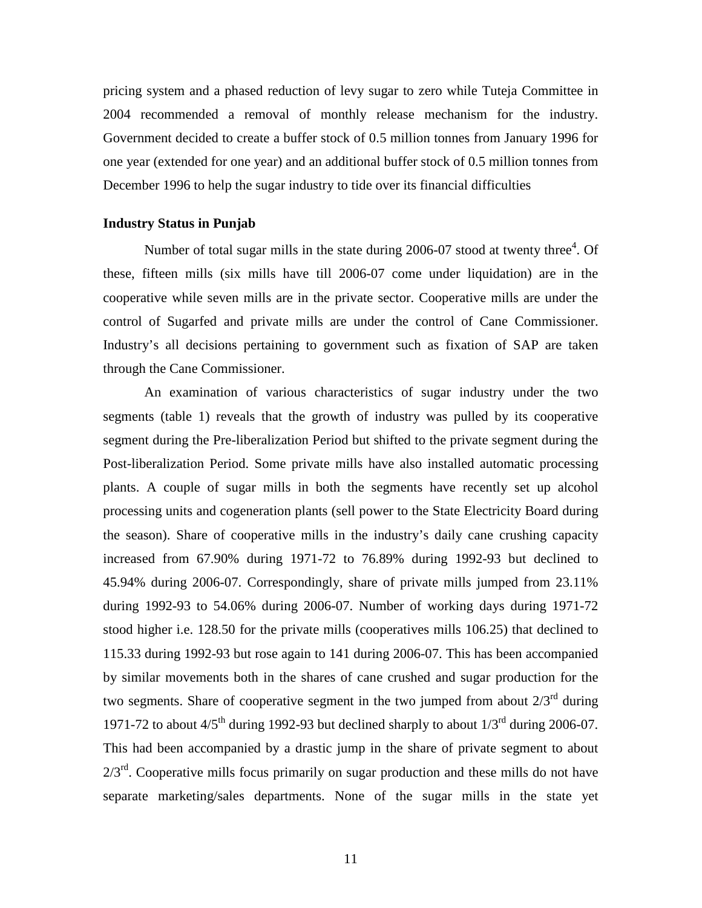pricing system and a phased reduction of levy sugar to zero while Tuteja Committee in 2004 recommended a removal of monthly release mechanism for the industry. Government decided to create a buffer stock of 0.5 million tonnes from January 1996 for one year (extended for one year) and an additional buffer stock of 0.5 million tonnes from December 1996 to help the sugar industry to tide over its financial difficulties

#### **Industry Status in Punjab**

Number of total sugar mills in the state during 2006-07 stood at twenty three<sup>4</sup>. Of these, fifteen mills (six mills have till 2006-07 come under liquidation) are in the cooperative while seven mills are in the private sector. Cooperative mills are under the control of Sugarfed and private mills are under the control of Cane Commissioner. Industry's all decisions pertaining to government such as fixation of SAP are taken through the Cane Commissioner.

An examination of various characteristics of sugar industry under the two segments (table 1) reveals that the growth of industry was pulled by its cooperative segment during the Pre-liberalization Period but shifted to the private segment during the Post-liberalization Period. Some private mills have also installed automatic processing plants. A couple of sugar mills in both the segments have recently set up alcohol processing units and cogeneration plants (sell power to the State Electricity Board during the season). Share of cooperative mills in the industry's daily cane crushing capacity increased from 67.90% during 1971-72 to 76.89% during 1992-93 but declined to 45.94% during 2006-07. Correspondingly, share of private mills jumped from 23.11% during 1992-93 to 54.06% during 2006-07. Number of working days during 1971-72 stood higher i.e. 128.50 for the private mills (cooperatives mills 106.25) that declined to 115.33 during 1992-93 but rose again to 141 during 2006-07. This has been accompanied by similar movements both in the shares of cane crushed and sugar production for the two segments. Share of cooperative segment in the two jumped from about  $2/3^{rd}$  during 1971-72 to about  $4/5<sup>th</sup>$  during 1992-93 but declined sharply to about  $1/3<sup>rd</sup>$  during 2006-07. This had been accompanied by a drastic jump in the share of private segment to about  $2/3^{rd}$ . Cooperative mills focus primarily on sugar production and these mills do not have separate marketing/sales departments. None of the sugar mills in the state yet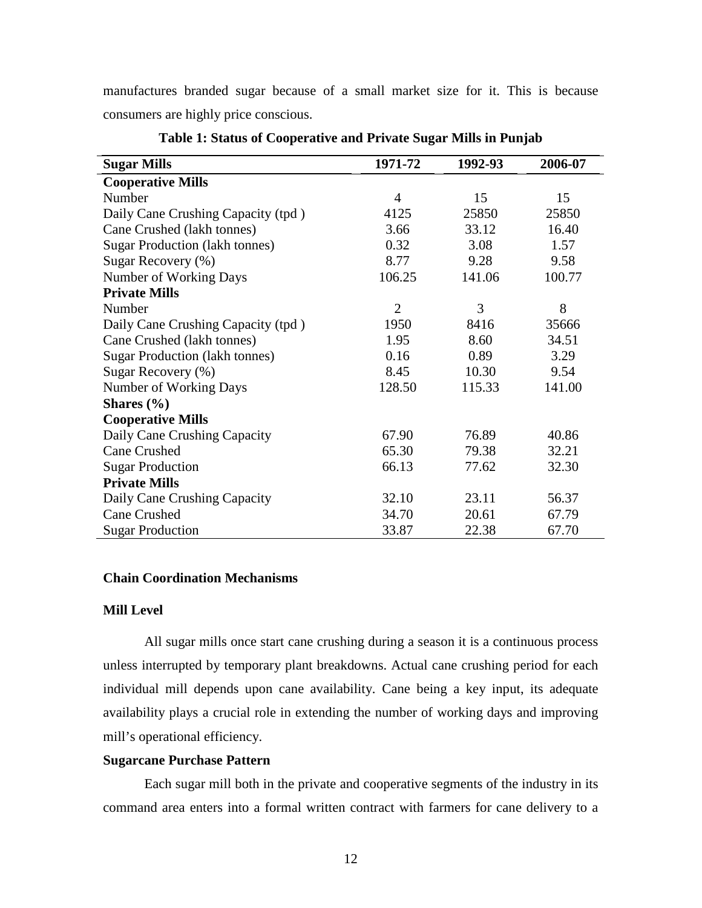manufactures branded sugar because of a small market size for it. This is because consumers are highly price conscious.

| <b>Sugar Mills</b>                    | 1971-72        | 1992-93 | 2006-07 |
|---------------------------------------|----------------|---------|---------|
| <b>Cooperative Mills</b>              |                |         |         |
| Number                                | $\overline{4}$ | 15      | 15      |
| Daily Cane Crushing Capacity (tpd)    | 4125           | 25850   | 25850   |
| Cane Crushed (lakh tonnes)            | 3.66           | 33.12   | 16.40   |
| <b>Sugar Production (lakh tonnes)</b> | 0.32           | 3.08    | 1.57    |
| Sugar Recovery (%)                    | 8.77           | 9.28    | 9.58    |
| Number of Working Days                | 106.25         | 141.06  | 100.77  |
| <b>Private Mills</b>                  |                |         |         |
| Number                                | $\overline{2}$ | 3       | 8       |
| Daily Cane Crushing Capacity (tpd)    | 1950           | 8416    | 35666   |
| Cane Crushed (lakh tonnes)            | 1.95           | 8.60    | 34.51   |
| <b>Sugar Production (lakh tonnes)</b> | 0.16           | 0.89    | 3.29    |
| Sugar Recovery (%)                    | 8.45           | 10.30   | 9.54    |
| Number of Working Days                | 128.50         | 115.33  | 141.00  |
| Shares $(\% )$                        |                |         |         |
| <b>Cooperative Mills</b>              |                |         |         |
| Daily Cane Crushing Capacity          | 67.90          | 76.89   | 40.86   |
| <b>Cane Crushed</b>                   | 65.30          | 79.38   | 32.21   |
| <b>Sugar Production</b>               | 66.13          | 77.62   | 32.30   |
| <b>Private Mills</b>                  |                |         |         |
| Daily Cane Crushing Capacity          | 32.10          | 23.11   | 56.37   |
| <b>Cane Crushed</b>                   | 34.70          | 20.61   | 67.79   |
| <b>Sugar Production</b>               | 33.87          | 22.38   | 67.70   |

#### **Table 1: Status of Cooperative and Private Sugar Mills in Punjab**

#### **Chain Coordination Mechanisms**

### **Mill Level**

All sugar mills once start cane crushing during a season it is a continuous process unless interrupted by temporary plant breakdowns. Actual cane crushing period for each individual mill depends upon cane availability. Cane being a key input, its adequate availability plays a crucial role in extending the number of working days and improving mill's operational efficiency.

#### **Sugarcane Purchase Pattern**

Each sugar mill both in the private and cooperative segments of the industry in its command area enters into a formal written contract with farmers for cane delivery to a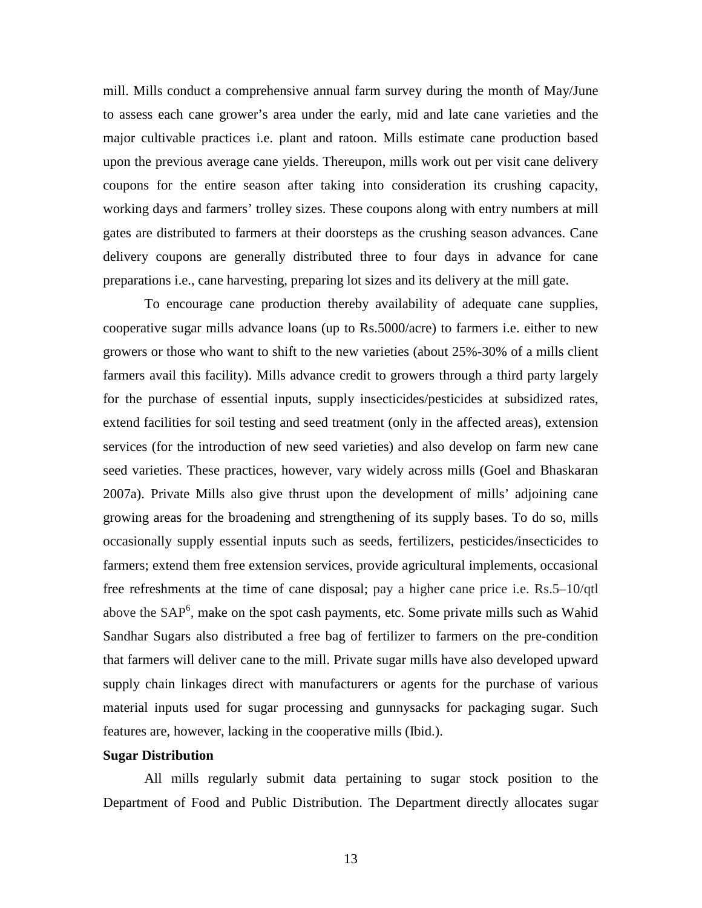mill. Mills conduct a comprehensive annual farm survey during the month of May/June to assess each cane grower's area under the early, mid and late cane varieties and the major cultivable practices i.e. plant and ratoon. Mills estimate cane production based upon the previous average cane yields. Thereupon, mills work out per visit cane delivery coupons for the entire season after taking into consideration its crushing capacity, working days and farmers' trolley sizes. These coupons along with entry numbers at mill gates are distributed to farmers at their doorsteps as the crushing season advances. Cane delivery coupons are generally distributed three to four days in advance for cane preparations i.e., cane harvesting, preparing lot sizes and its delivery at the mill gate.

To encourage cane production thereby availability of adequate cane supplies, cooperative sugar mills advance loans (up to Rs.5000/acre) to farmers i.e. either to new growers or those who want to shift to the new varieties (about 25%-30% of a mills client farmers avail this facility). Mills advance credit to growers through a third party largely for the purchase of essential inputs, supply insecticides/pesticides at subsidized rates, extend facilities for soil testing and seed treatment (only in the affected areas), extension services (for the introduction of new seed varieties) and also develop on farm new cane seed varieties. These practices, however, vary widely across mills (Goel and Bhaskaran 2007a). Private Mills also give thrust upon the development of mills' adjoining cane growing areas for the broadening and strengthening of its supply bases. To do so, mills occasionally supply essential inputs such as seeds, fertilizers, pesticides/insecticides to farmers; extend them free extension services, provide agricultural implements, occasional free refreshments at the time of cane disposal; pay a higher cane price i.e. Rs.5–10/qtl above the  $SAP<sup>6</sup>$ , make on the spot cash payments, etc. Some private mills such as Wahid Sandhar Sugars also distributed a free bag of fertilizer to farmers on the pre-condition that farmers will deliver cane to the mill. Private sugar mills have also developed upward supply chain linkages direct with manufacturers or agents for the purchase of various material inputs used for sugar processing and gunnysacks for packaging sugar. Such features are, however, lacking in the cooperative mills (Ibid.).

#### **Sugar Distribution**

All mills regularly submit data pertaining to sugar stock position to the Department of Food and Public Distribution. The Department directly allocates sugar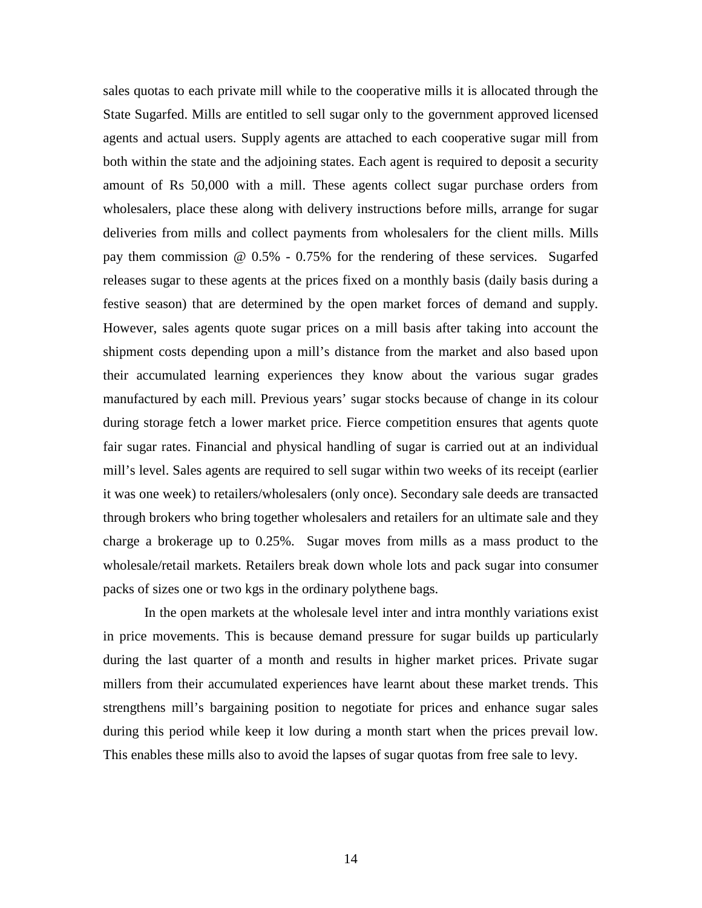sales quotas to each private mill while to the cooperative mills it is allocated through the State Sugarfed. Mills are entitled to sell sugar only to the government approved licensed agents and actual users. Supply agents are attached to each cooperative sugar mill from both within the state and the adjoining states. Each agent is required to deposit a security amount of Rs 50,000 with a mill. These agents collect sugar purchase orders from wholesalers, place these along with delivery instructions before mills, arrange for sugar deliveries from mills and collect payments from wholesalers for the client mills. Mills pay them commission @ 0.5% - 0.75% for the rendering of these services. Sugarfed releases sugar to these agents at the prices fixed on a monthly basis (daily basis during a festive season) that are determined by the open market forces of demand and supply. However, sales agents quote sugar prices on a mill basis after taking into account the shipment costs depending upon a mill's distance from the market and also based upon their accumulated learning experiences they know about the various sugar grades manufactured by each mill. Previous years' sugar stocks because of change in its colour during storage fetch a lower market price. Fierce competition ensures that agents quote fair sugar rates. Financial and physical handling of sugar is carried out at an individual mill's level. Sales agents are required to sell sugar within two weeks of its receipt (earlier it was one week) to retailers/wholesalers (only once). Secondary sale deeds are transacted through brokers who bring together wholesalers and retailers for an ultimate sale and they charge a brokerage up to 0.25%. Sugar moves from mills as a mass product to the wholesale/retail markets. Retailers break down whole lots and pack sugar into consumer packs of sizes one or two kgs in the ordinary polythene bags.

In the open markets at the wholesale level inter and intra monthly variations exist in price movements. This is because demand pressure for sugar builds up particularly during the last quarter of a month and results in higher market prices. Private sugar millers from their accumulated experiences have learnt about these market trends. This strengthens mill's bargaining position to negotiate for prices and enhance sugar sales during this period while keep it low during a month start when the prices prevail low. This enables these mills also to avoid the lapses of sugar quotas from free sale to levy.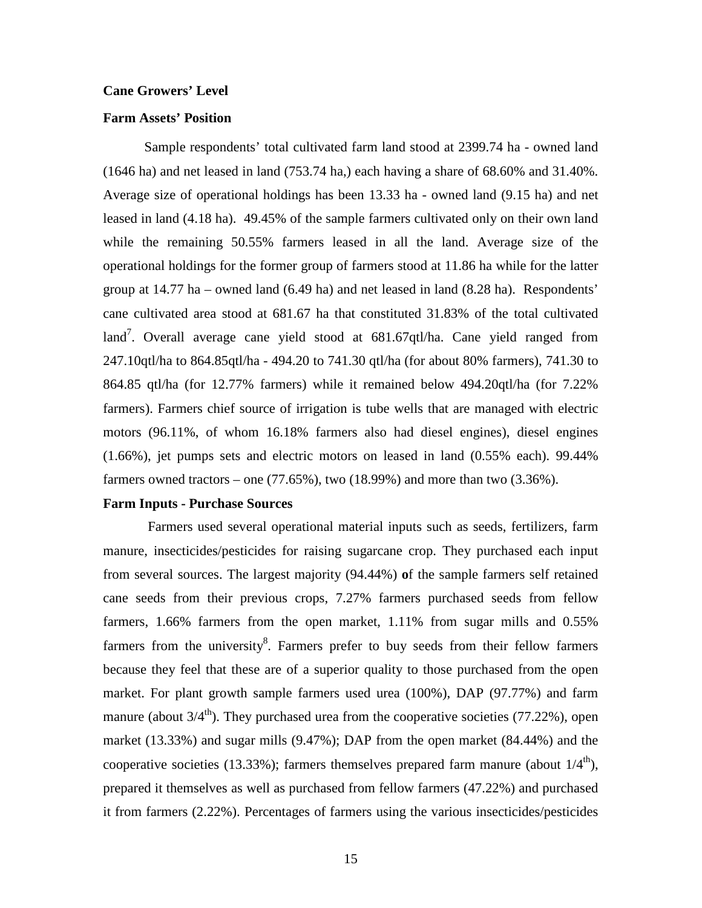#### **Cane Growers' Level**

#### **Farm Assets' Position**

Sample respondents' total cultivated farm land stood at 2399.74 ha - owned land  $(1646 \text{ ha})$  and net leased in land  $(753.74 \text{ ha})$  each having a share of 68.60% and 31.40%. Average size of operational holdings has been 13.33 ha - owned land (9.15 ha) and net leased in land (4.18 ha). 49.45% of the sample farmers cultivated only on their own land while the remaining 50.55% farmers leased in all the land. Average size of the operational holdings for the former group of farmers stood at 11.86 ha while for the latter group at 14.77 ha – owned land (6.49 ha) and net leased in land (8.28 ha).Respondents' cane cultivated area stood at 681.67 ha that constituted 31.83% of the total cultivated land<sup>7</sup>. Overall average cane yield stood at  $681.67$ qtl/ha. Cane yield ranged from 247.10qtl/ha to 864.85qtl/ha - 494.20 to 741.30 qtl/ha (for about 80% farmers), 741.30 to 864.85 qtl/ha (for 12.77% farmers) while it remained below 494.20qtl/ha (for 7.22% farmers). Farmers chief source of irrigation is tube wells that are managed with electric motors (96.11%, of whom 16.18% farmers also had diesel engines), diesel engines (1.66%), jet pumps sets and electric motors on leased in land (0.55% each). 99.44% farmers owned tractors – one  $(77.65\%)$ , two  $(18.99\%)$  and more than two  $(3.36\%)$ .

#### **Farm Inputs - Purchase Sources**

 Farmers used several operational material inputs such as seeds, fertilizers, farm manure, insecticides/pesticides for raising sugarcane crop. They purchased each input from several sources. The largest majority (94.44%) **o**f the sample farmers self retained cane seeds from their previous crops, 7.27% farmers purchased seeds from fellow farmers, 1.66% farmers from the open market, 1.11% from sugar mills and 0.55% farmers from the university<sup>8</sup>. Farmers prefer to buy seeds from their fellow farmers because they feel that these are of a superior quality to those purchased from the open market. For plant growth sample farmers used urea (100%), DAP (97.77%) and farm manure (about  $3/4^{\text{th}}$ ). They purchased urea from the cooperative societies (77.22%), open market (13.33%) and sugar mills (9.47%); DAP from the open market (84.44%) and the cooperative societies (13.33%); farmers themselves prepared farm manure (about  $1/4<sup>th</sup>$ ), prepared it themselves as well as purchased from fellow farmers (47.22%) and purchased it from farmers (2.22%). Percentages of farmers using the various insecticides/pesticides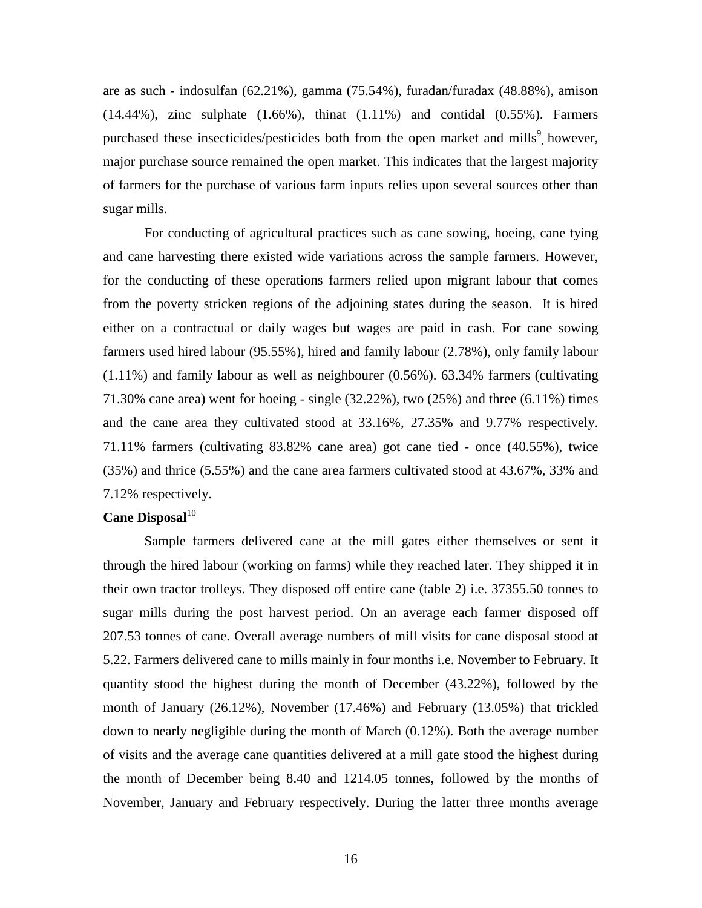are as such - indosulfan (62.21%), gamma (75.54%), furadan/furadax (48.88%), amison  $(14.44\%)$ , zinc sulphate  $(1.66\%)$ , thinat  $(1.11\%)$  and contidal  $(0.55\%)$ . Farmers purchased these insecticides/pesticides both from the open market and mills<sup>9</sup>, however, major purchase source remained the open market. This indicates that the largest majority of farmers for the purchase of various farm inputs relies upon several sources other than sugar mills.

For conducting of agricultural practices such as cane sowing, hoeing, cane tying and cane harvesting there existed wide variations across the sample farmers. However, for the conducting of these operations farmers relied upon migrant labour that comes from the poverty stricken regions of the adjoining states during the season. It is hired either on a contractual or daily wages but wages are paid in cash. For cane sowing farmers used hired labour (95.55%), hired and family labour (2.78%), only family labour (1.11%) and family labour as well as neighbourer (0.56%). 63.34% farmers (cultivating 71.30% cane area) went for hoeing - single (32.22%), two (25%) and three (6.11%) times and the cane area they cultivated stood at 33.16%, 27.35% and 9.77% respectively. 71.11% farmers (cultivating 83.82% cane area) got cane tied - once (40.55%), twice (35%) and thrice (5.55%) and the cane area farmers cultivated stood at 43.67%, 33% and 7.12% respectively.

### **Cane Disposal**<sup>10</sup>

Sample farmers delivered cane at the mill gates either themselves or sent it through the hired labour (working on farms) while they reached later. They shipped it in their own tractor trolleys. They disposed off entire cane (table 2) i.e. 37355.50 tonnes to sugar mills during the post harvest period. On an average each farmer disposed off 207.53 tonnes of cane. Overall average numbers of mill visits for cane disposal stood at 5.22. Farmers delivered cane to mills mainly in four months i.e. November to February. It quantity stood the highest during the month of December (43.22%), followed by the month of January (26.12%), November (17.46%) and February (13.05%) that trickled down to nearly negligible during the month of March (0.12%). Both the average number of visits and the average cane quantities delivered at a mill gate stood the highest during the month of December being 8.40 and 1214.05 tonnes, followed by the months of November, January and February respectively. During the latter three months average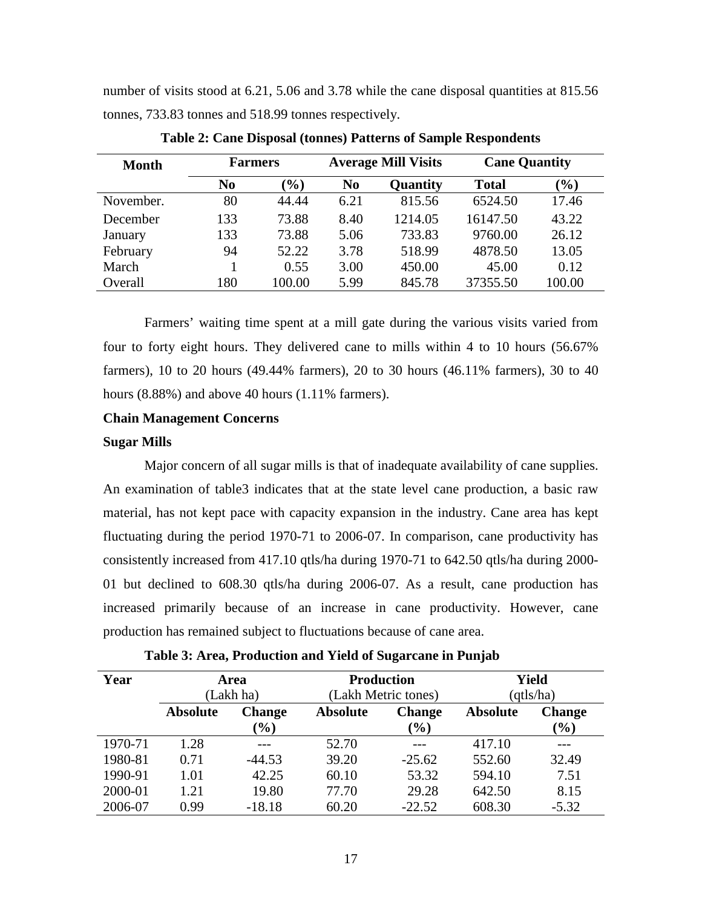number of visits stood at 6.21, 5.06 and 3.78 while the cane disposal quantities at 815.56 tonnes, 733.83 tonnes and 518.99 tonnes respectively.

| <b>Month</b> | <b>Farmers</b> |                              | <b>Average Mill Visits</b> |          | <b>Cane Quantity</b> |        |
|--------------|----------------|------------------------------|----------------------------|----------|----------------------|--------|
|              | N <sub>0</sub> | $\left( \frac{0}{0} \right)$ | N <sub>0</sub>             | Quantity | <b>Total</b>         | $(\%)$ |
| November.    | 80             | 44.44                        | 6.21                       | 815.56   | 6524.50              | 17.46  |
| December     | 133            | 73.88                        | 8.40                       | 1214.05  | 16147.50             | 43.22  |
| January      | 133            | 73.88                        | 5.06                       | 733.83   | 9760.00              | 26.12  |
| February     | 94             | 52.22                        | 3.78                       | 518.99   | 4878.50              | 13.05  |
| March        |                | 0.55                         | 3.00                       | 450.00   | 45.00                | 0.12   |
| Overall      | 180            | 100.00                       | 5.99                       | 845.78   | 37355.50             | 100.00 |

**Table 2: Cane Disposal (tonnes) Patterns of Sample Respondents** 

Farmers' waiting time spent at a mill gate during the various visits varied from four to forty eight hours. They delivered cane to mills within 4 to 10 hours (56.67% farmers), 10 to 20 hours (49.44% farmers), 20 to 30 hours (46.11% farmers), 30 to 40 hours (8.88%) and above 40 hours (1.11% farmers).

### **Chain Management Concerns**

### **Sugar Mills**

Major concern of all sugar mills is that of inadequate availability of cane supplies. An examination of table3 indicates that at the state level cane production, a basic raw material, has not kept pace with capacity expansion in the industry. Cane area has kept fluctuating during the period 1970-71 to 2006-07. In comparison, cane productivity has consistently increased from 417.10 qtls/ha during 1970-71 to 642.50 qtls/ha during 2000- 01 but declined to 608.30 qtls/ha during 2006-07. As a result, cane production has increased primarily because of an increase in cane productivity. However, cane production has remained subject to fluctuations because of cane area.

| Year    | <b>Area</b><br>(Lakh ha) |                         | <b>Production</b><br>(Lakh Metric tones) |                         | Yield<br>(qtls/ha) |                         |
|---------|--------------------------|-------------------------|------------------------------------------|-------------------------|--------------------|-------------------------|
|         | <b>Absolute</b>          | <b>Change</b><br>$(\%)$ | <b>Absolute</b>                          | <b>Change</b><br>$(\%)$ | <b>Absolute</b>    | <b>Change</b><br>$(\%)$ |
| 1970-71 | 1.28                     |                         | 52.70                                    |                         | 417.10             |                         |
| 1980-81 | 0.71                     | $-44.53$                | 39.20                                    | $-25.62$                | 552.60             | 32.49                   |
| 1990-91 | 1.01                     | 42.25                   | 60.10                                    | 53.32                   | 594.10             | 7.51                    |
| 2000-01 | 1.21                     | 19.80                   | 77.70                                    | 29.28                   | 642.50             | 8.15                    |
| 2006-07 | 0.99                     | $-18.18$                | 60.20                                    | $-22.52$                | 608.30             | $-5.32$                 |

**Table 3: Area, Production and Yield of Sugarcane in Punjab**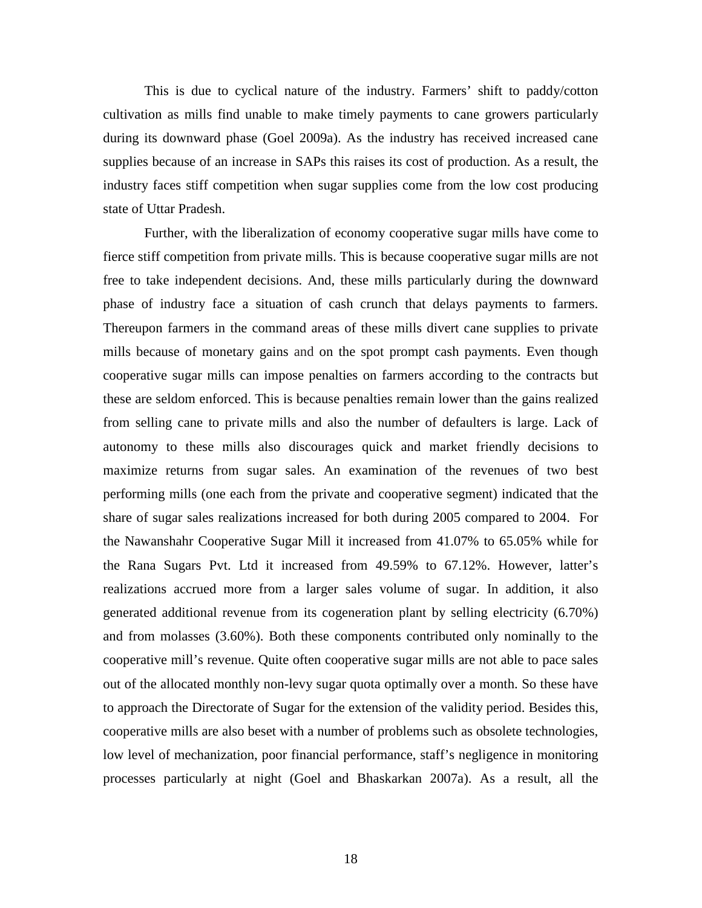This is due to cyclical nature of the industry. Farmers' shift to paddy/cotton cultivation as mills find unable to make timely payments to cane growers particularly during its downward phase (Goel 2009a). As the industry has received increased cane supplies because of an increase in SAPs this raises its cost of production. As a result, the industry faces stiff competition when sugar supplies come from the low cost producing state of Uttar Pradesh.

Further, with the liberalization of economy cooperative sugar mills have come to fierce stiff competition from private mills. This is because cooperative sugar mills are not free to take independent decisions. And, these mills particularly during the downward phase of industry face a situation of cash crunch that delays payments to farmers. Thereupon farmers in the command areas of these mills divert cane supplies to private mills because of monetary gains and on the spot prompt cash payments. Even though cooperative sugar mills can impose penalties on farmers according to the contracts but these are seldom enforced. This is because penalties remain lower than the gains realized from selling cane to private mills and also the number of defaulters is large. Lack of autonomy to these mills also discourages quick and market friendly decisions to maximize returns from sugar sales. An examination of the revenues of two best performing mills (one each from the private and cooperative segment) indicated that the share of sugar sales realizations increased for both during 2005 compared to 2004. For the Nawanshahr Cooperative Sugar Mill it increased from 41.07% to 65.05% while for the Rana Sugars Pvt. Ltd it increased from 49.59% to 67.12%. However, latter's realizations accrued more from a larger sales volume of sugar. In addition, it also generated additional revenue from its cogeneration plant by selling electricity (6.70%) and from molasses (3.60%). Both these components contributed only nominally to the cooperative mill's revenue. Quite often cooperative sugar mills are not able to pace sales out of the allocated monthly non-levy sugar quota optimally over a month. So these have to approach the Directorate of Sugar for the extension of the validity period. Besides this, cooperative mills are also beset with a number of problems such as obsolete technologies, low level of mechanization, poor financial performance, staff's negligence in monitoring processes particularly at night (Goel and Bhaskarkan 2007a). As a result, all the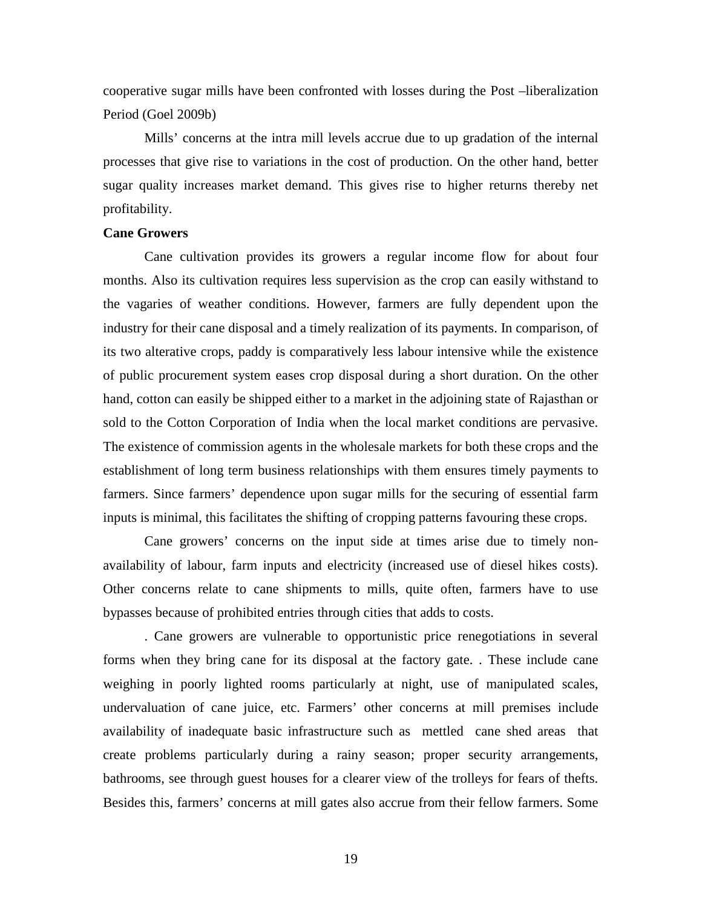cooperative sugar mills have been confronted with losses during the Post –liberalization Period (Goel 2009b)

Mills' concerns at the intra mill levels accrue due to up gradation of the internal processes that give rise to variations in the cost of production. On the other hand, better sugar quality increases market demand. This gives rise to higher returns thereby net profitability.

### **Cane Growers**

Cane cultivation provides its growers a regular income flow for about four months. Also its cultivation requires less supervision as the crop can easily withstand to the vagaries of weather conditions. However, farmers are fully dependent upon the industry for their cane disposal and a timely realization of its payments. In comparison, of its two alterative crops, paddy is comparatively less labour intensive while the existence of public procurement system eases crop disposal during a short duration. On the other hand, cotton can easily be shipped either to a market in the adjoining state of Rajasthan or sold to the Cotton Corporation of India when the local market conditions are pervasive. The existence of commission agents in the wholesale markets for both these crops and the establishment of long term business relationships with them ensures timely payments to farmers. Since farmers' dependence upon sugar mills for the securing of essential farm inputs is minimal, this facilitates the shifting of cropping patterns favouring these crops.

Cane growers' concerns on the input side at times arise due to timely nonavailability of labour, farm inputs and electricity (increased use of diesel hikes costs). Other concerns relate to cane shipments to mills, quite often, farmers have to use bypasses because of prohibited entries through cities that adds to costs.

. Cane growers are vulnerable to opportunistic price renegotiations in several forms when they bring cane for its disposal at the factory gate. . These include cane weighing in poorly lighted rooms particularly at night, use of manipulated scales, undervaluation of cane juice, etc. Farmers' other concerns at mill premises include availability of inadequate basic infrastructure such as mettled cane shed areas that create problems particularly during a rainy season; proper security arrangements, bathrooms, see through guest houses for a clearer view of the trolleys for fears of thefts. Besides this, farmers' concerns at mill gates also accrue from their fellow farmers. Some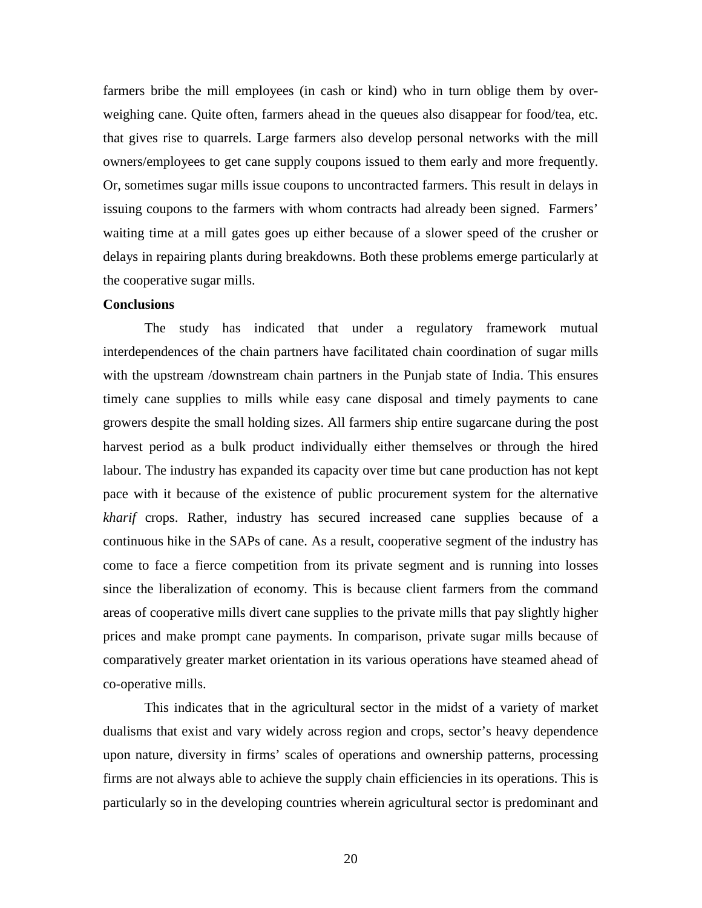farmers bribe the mill employees (in cash or kind) who in turn oblige them by overweighing cane. Quite often, farmers ahead in the queues also disappear for food/tea, etc. that gives rise to quarrels. Large farmers also develop personal networks with the mill owners/employees to get cane supply coupons issued to them early and more frequently. Or, sometimes sugar mills issue coupons to uncontracted farmers. This result in delays in issuing coupons to the farmers with whom contracts had already been signed. Farmers' waiting time at a mill gates goes up either because of a slower speed of the crusher or delays in repairing plants during breakdowns. Both these problems emerge particularly at the cooperative sugar mills.

### **Conclusions**

The study has indicated that under a regulatory framework mutual interdependences of the chain partners have facilitated chain coordination of sugar mills with the upstream /downstream chain partners in the Punjab state of India. This ensures timely cane supplies to mills while easy cane disposal and timely payments to cane growers despite the small holding sizes. All farmers ship entire sugarcane during the post harvest period as a bulk product individually either themselves or through the hired labour. The industry has expanded its capacity over time but cane production has not kept pace with it because of the existence of public procurement system for the alternative *kharif* crops. Rather, industry has secured increased cane supplies because of a continuous hike in the SAPs of cane. As a result, cooperative segment of the industry has come to face a fierce competition from its private segment and is running into losses since the liberalization of economy. This is because client farmers from the command areas of cooperative mills divert cane supplies to the private mills that pay slightly higher prices and make prompt cane payments. In comparison, private sugar mills because of comparatively greater market orientation in its various operations have steamed ahead of co-operative mills.

This indicates that in the agricultural sector in the midst of a variety of market dualisms that exist and vary widely across region and crops, sector's heavy dependence upon nature, diversity in firms' scales of operations and ownership patterns, processing firms are not always able to achieve the supply chain efficiencies in its operations. This is particularly so in the developing countries wherein agricultural sector is predominant and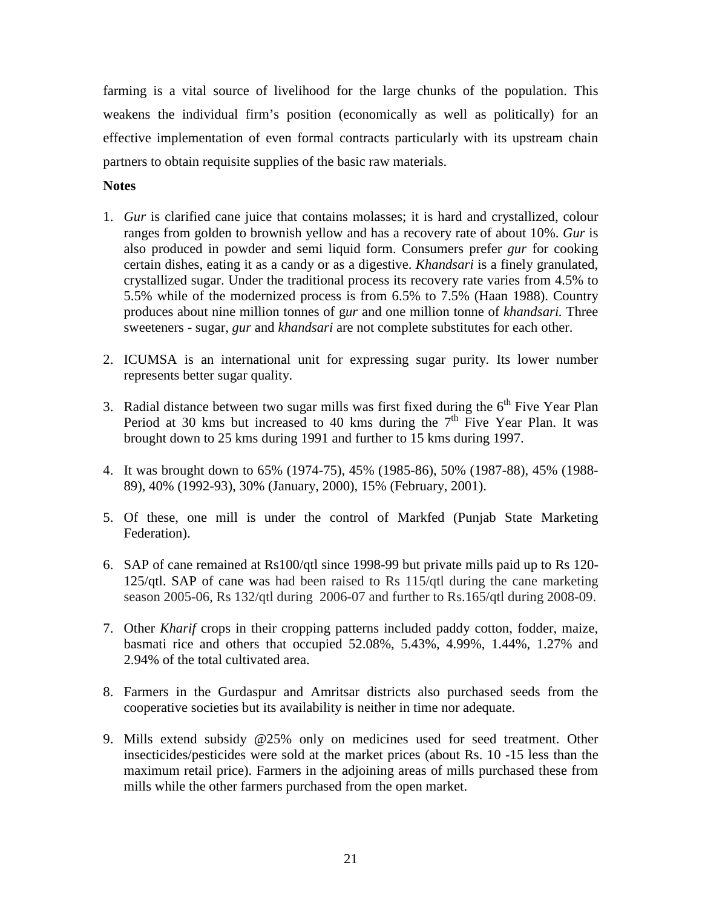farming is a vital source of livelihood for the large chunks of the population. This weakens the individual firm's position (economically as well as politically) for an effective implementation of even formal contracts particularly with its upstream chain partners to obtain requisite supplies of the basic raw materials.

## **Notes**

- 1. *Gur* is clarified cane juice that contains molasses; it is hard and crystallized, colour ranges from golden to brownish yellow and has a recovery rate of about 10%. *Gur* is also produced in powder and semi liquid form. Consumers prefer *gur* for cooking certain dishes, eating it as a candy or as a digestive. *Khandsari* is a finely granulated, crystallized sugar. Under the traditional process its recovery rate varies from 4.5% to 5.5% while of the modernized process is from 6.5% to 7.5% (Haan 1988). Country produces about nine million tonnes of g*ur* and one million tonne of *khandsari.* Three sweeteners - sugar, *gur* and *khandsari* are not complete substitutes for each other.
- 2. ICUMSA is an international unit for expressing sugar purity. Its lower number represents better sugar quality.
- 3. Radial distance between two sugar mills was first fixed during the  $6<sup>th</sup>$  Five Year Plan Period at 30 kms but increased to 40 kms during the  $7<sup>th</sup>$  Five Year Plan. It was brought down to 25 kms during 1991 and further to 15 kms during 1997.
- 4. It was brought down to 65% (1974-75), 45% (1985-86), 50% (1987-88), 45% (1988- 89), 40% (1992-93), 30% (January, 2000), 15% (February, 2001).
- 5. Of these, one mill is under the control of Markfed (Punjab State Marketing Federation).
- 6. SAP of cane remained at Rs100/qtl since 1998-99 but private mills paid up to Rs 120- 125/qtl. SAP of cane was had been raised to Rs 115/qtl during the cane marketing season 2005-06, Rs 132/qtl during 2006-07 and further to Rs.165/qtl during 2008-09.
- 7. Other *Kharif* crops in their cropping patterns included paddy cotton, fodder, maize, basmati rice and others that occupied 52.08%, 5.43%, 4.99%, 1.44%, 1.27% and 2.94% of the total cultivated area.
- 8. Farmers in the Gurdaspur and Amritsar districts also purchased seeds from the cooperative societies but its availability is neither in time nor adequate.
- 9. Mills extend subsidy @25% only on medicines used for seed treatment. Other insecticides/pesticides were sold at the market prices (about Rs. 10 -15 less than the maximum retail price). Farmers in the adjoining areas of mills purchased these from mills while the other farmers purchased from the open market.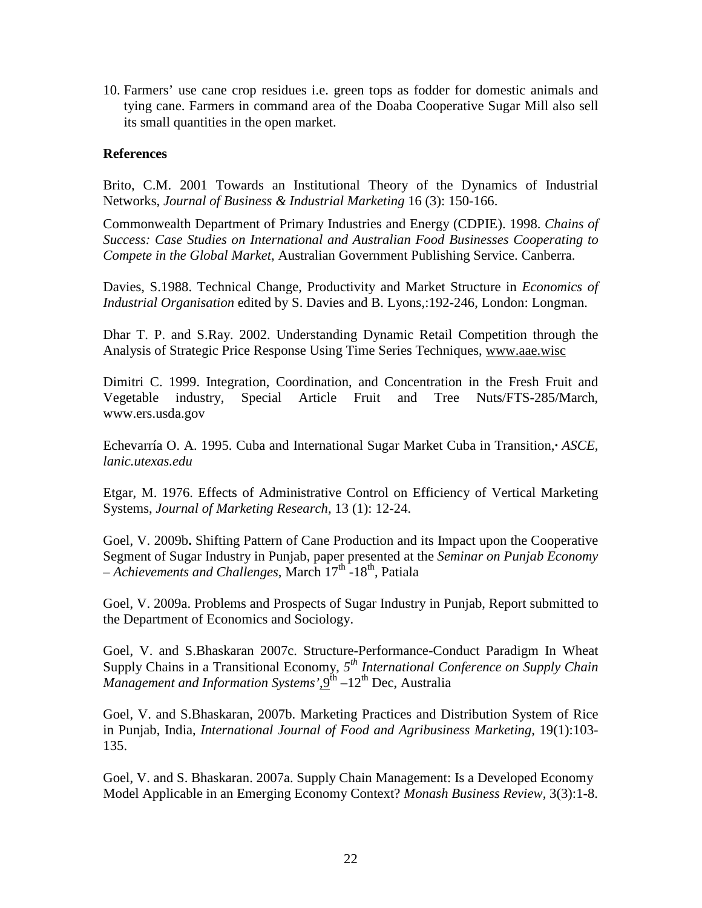10. Farmers' use cane crop residues i.e. green tops as fodder for domestic animals and tying cane. Farmers in command area of the Doaba Cooperative Sugar Mill also sell its small quantities in the open market.

## **References**

Brito, C.M. 2001 Towards an Institutional Theory of the Dynamics of Industrial Networks, *Journal of Business & Industrial Marketing* 16 (3): 150-166.

Commonwealth Department of Primary Industries and Energy (CDPIE). 1998. *Chains of Success: Case Studies on International and Australian Food Businesses Cooperating to Compete in the Global Market*, Australian Government Publishing Service. Canberra.

Davies, S.1988. Technical Change, Productivity and Market Structure in *Economics of Industrial Organisation* edited by S. Davies and B. Lyons,:192-246, London: Longman.

Dhar T. P. and S.Ray. 2002. Understanding Dynamic Retail Competition through the Analysis of Strategic Price Response Using Time Series Techniques, www.aae.wisc

Dimitri C. 1999. Integration, Coordination, and Concentration in the Fresh Fruit and Vegetable industry, Special Article Fruit and Tree Nuts/FTS-285/March, www.ers.usda.gov

Echevarría O. A. 1995. Cuba and International Sugar Market Cuba in Transition,**·** *ASCE, lanic.utexas.edu* 

Etgar, M. 1976. Effects of Administrative Control on Efficiency of Vertical Marketing Systems, *Journal of Marketing Research,* 13 (1): 12-24.

Goel, V. 2009b**.** Shifting Pattern of Cane Production and its Impact upon the Cooperative Segment of Sugar Industry in Punjab, paper presented at the *Seminar on Punjab Economy – Achievements and Challenges*, March 17th -18th, Patiala

Goel, V. 2009a. Problems and Prospects of Sugar Industry in Punjab, Report submitted to the Department of Economics and Sociology.

Goel, V. and S.Bhaskaran 2007c. Structure-Performance-Conduct Paradigm In Wheat Supply Chains in a Transitional Economy, 5<sup>th</sup> International Conference on Supply Chain *Management and Information Systems'*,9th –12th Dec, Australia

Goel, V. and S.Bhaskaran, 2007b. Marketing Practices and Distribution System of Rice in Punjab, India, *International Journal of Food and Agribusiness Marketing*, 19(1):103- 135.

Goel, V. and S. Bhaskaran. 2007a. Supply Chain Management: Is a Developed Economy Model Applicable in an Emerging Economy Context? *Monash Business Review,* 3(3):1-8.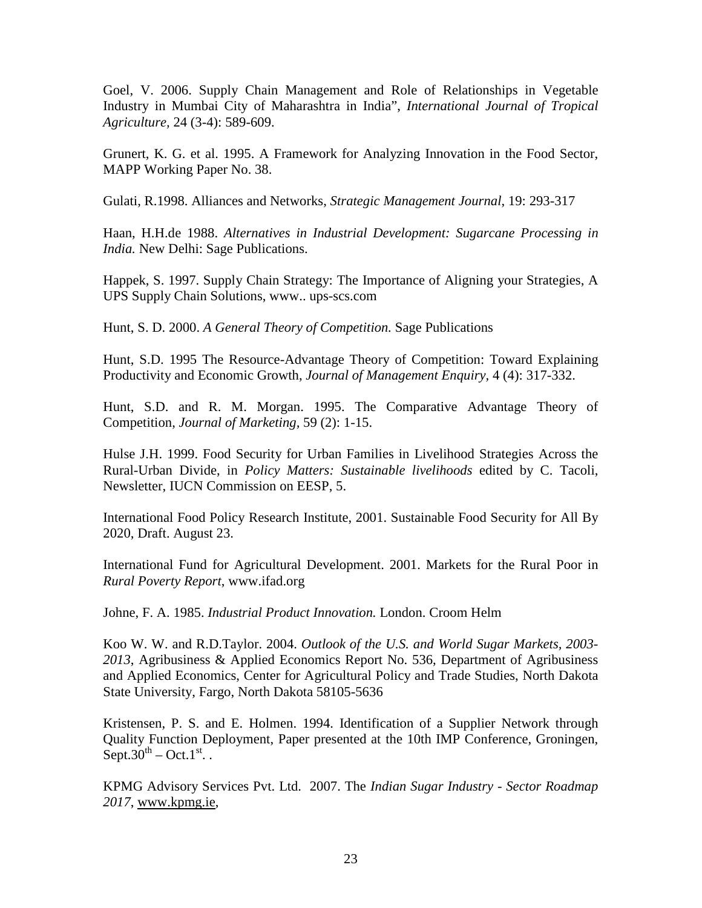Goel, V. 2006. Supply Chain Management and Role of Relationships in Vegetable Industry in Mumbai City of Maharashtra in India", *International Journal of Tropical Agriculture,* 24 (3-4): 589-609.

Grunert, K. G. et al. 1995. A Framework for Analyzing Innovation in the Food Sector, MAPP Working Paper No. 38.

Gulati, R.1998. Alliances and Networks, *Strategic Management Journal*, 19: 293-317

Haan, H.H.de 1988. *Alternatives in Industrial Development: Sugarcane Processing in India.* New Delhi: Sage Publications.

Happek, S. 1997. Supply Chain Strategy: The Importance of Aligning your Strategies, A UPS Supply Chain Solutions, www.. ups-scs.com

Hunt, S. D. 2000. *A General Theory of Competition.* Sage Publications

Hunt, S.D. 1995 The Resource-Advantage Theory of Competition: Toward Explaining Productivity and Economic Growth, *Journal of Management Enquiry,* 4 (4): 317-332.

Hunt, S.D. and R. M. Morgan. 1995. The Comparative Advantage Theory of Competition, *Journal of Marketing,* 59 (2): 1-15.

Hulse J.H. 1999. Food Security for Urban Families in Livelihood Strategies Across the Rural-Urban Divide, in *Policy Matters: Sustainable livelihoods* edited by C. Tacoli, Newsletter, IUCN Commission on EESP, 5.

International Food Policy Research Institute, 2001. Sustainable Food Security for All By 2020, Draft. August 23.

International Fund for Agricultural Development. 2001. Markets for the Rural Poor in *Rural Poverty Report*, www.ifad.org

Johne, F. A. 1985. *Industrial Product Innovation.* London. Croom Helm

Koo W. W. and R.D.Taylor. 2004. *Outlook of the U.S. and World Sugar Markets, 2003- 2013*, Agribusiness & Applied Economics Report No. 536, Department of Agribusiness and Applied Economics, Center for Agricultural Policy and Trade Studies, North Dakota State University, Fargo, North Dakota 58105-5636

Kristensen, P. S. and E. Holmen. 1994. Identification of a Supplier Network through Quality Function Deployment, Paper presented at the 10th IMP Conference, Groningen, Sept.30<sup>th</sup> – Oct.1<sup>st</sup>...

KPMG Advisory Services Pvt. Ltd. 2007. The *Indian Sugar Industry - Sector Roadmap 2017*, www.kpmg.ie,